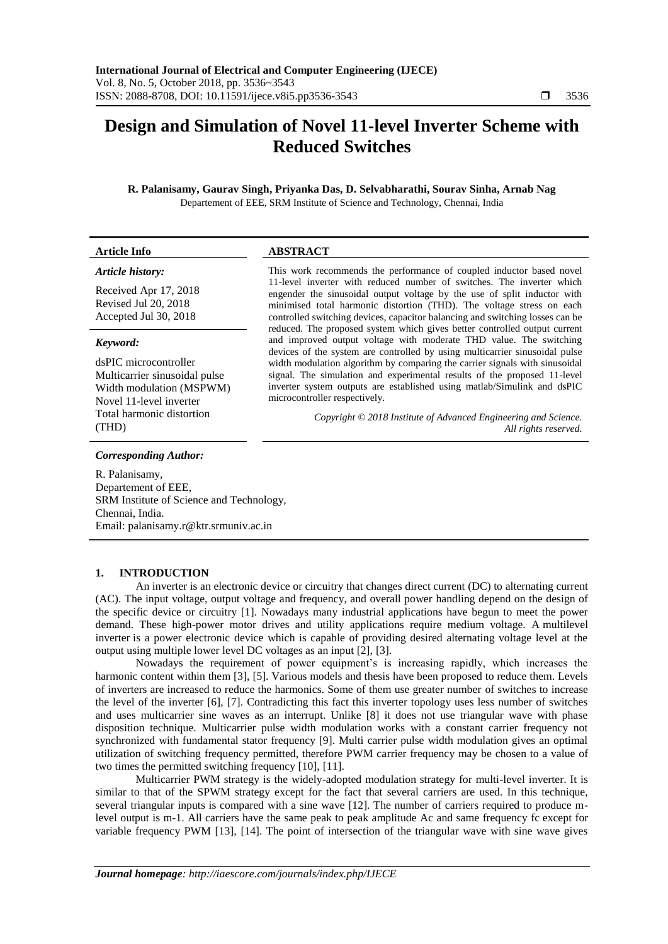**Article Info ABSTRACT**

# **Design and Simulation of Novel 11-level Inverter Scheme with Reduced Switches**

**R. Palanisamy, Gaurav Singh, Priyanka Das, D. Selvabharathi, Sourav Sinha, Arnab Nag** Departement of EEE, SRM Institute of Science and Technology, Chennai, India

| Article history:<br>Received Apr 17, 2018<br>Revised Jul 20, 2018<br>Accepted Jul 30, 2018                                                                      | This work recommends the performance of coupled inductor based novel<br>11-level inverter with reduced number of switches. The inverter which<br>engender the sinusoidal output voltage by the use of split inductor with<br>minimised total harmonic distortion (THD). The voltage stress on each<br>controlled switching devices, capacitor balancing and switching losses can be<br>reduced. The proposed system which gives better controlled output current<br>and improved output voltage with moderate THD value. The switching<br>devices of the system are controlled by using multicarrier sinusoidal pulse<br>width modulation algorithm by comparing the carrier signals with sinusoidal<br>signal. The simulation and experimental results of the proposed 11-level<br>inverter system outputs are established using matlab/Simulink and dsPIC<br>microcontroller respectively.<br>Copyright © 2018 Institute of Advanced Engineering and Science.<br>All rights reserved. |
|-----------------------------------------------------------------------------------------------------------------------------------------------------------------|-----------------------------------------------------------------------------------------------------------------------------------------------------------------------------------------------------------------------------------------------------------------------------------------------------------------------------------------------------------------------------------------------------------------------------------------------------------------------------------------------------------------------------------------------------------------------------------------------------------------------------------------------------------------------------------------------------------------------------------------------------------------------------------------------------------------------------------------------------------------------------------------------------------------------------------------------------------------------------------------|
| Keyword:<br>dsPIC microcontroller<br>Multicarrier sinusoidal pulse<br>Width modulation (MSPWM)<br>Novel 11-level inverter<br>Total harmonic distortion<br>(THD) |                                                                                                                                                                                                                                                                                                                                                                                                                                                                                                                                                                                                                                                                                                                                                                                                                                                                                                                                                                                         |
| Corresponding Author:<br>R. Palanisamy,<br>Departement of EEE,<br>SRM Institute of Science and Technology,                                                      |                                                                                                                                                                                                                                                                                                                                                                                                                                                                                                                                                                                                                                                                                                                                                                                                                                                                                                                                                                                         |

### **1. INTRODUCTION**

Email: palanisamy.r@ktr.srmuniv.ac.in

Chennai, India.

An inverter is an electronic device or circuitry that changes direct current (DC) to alternating current (AC). The input voltage, output voltage and frequency, and overall power handling depend on the design of the specific device or circuitry [1]. Nowadays many industrial applications have begun to meet the power demand. These high-power motor drives and utility applications require medium voltage. A multilevel inverter is a power electronic device which is capable of providing desired alternating voltage level at the output using multiple lower level DC voltages as an input [2], [3].

Nowadays the requirement of power equipment's is increasing rapidly, which increases the harmonic content within them [3], [5]. Various models and thesis have been proposed to reduce them. Levels of inverters are increased to reduce the harmonics. Some of them use greater number of switches to increase the level of the inverter [6], [7]. Contradicting this fact this inverter topology uses less number of switches and uses multicarrier sine waves as an interrupt. Unlike [8] it does not use triangular wave with phase disposition technique. Multicarrier pulse width modulation works with a constant carrier frequency not synchronized with fundamental stator frequency [9]. Multi carrier pulse width modulation gives an optimal utilization of switching frequency permitted, therefore PWM carrier frequency may be chosen to a value of two times the permitted switching frequency [10], [11].

Multicarrier PWM strategy is the widely-adopted modulation strategy for multi-level inverter. It is similar to that of the SPWM strategy except for the fact that several carriers are used. In this technique, several triangular inputs is compared with a sine wave [12]. The number of carriers required to produce mlevel output is m-1. All carriers have the same peak to peak amplitude Ac and same frequency fc except for variable frequency PWM [13], [14]. The point of intersection of the triangular wave with sine wave gives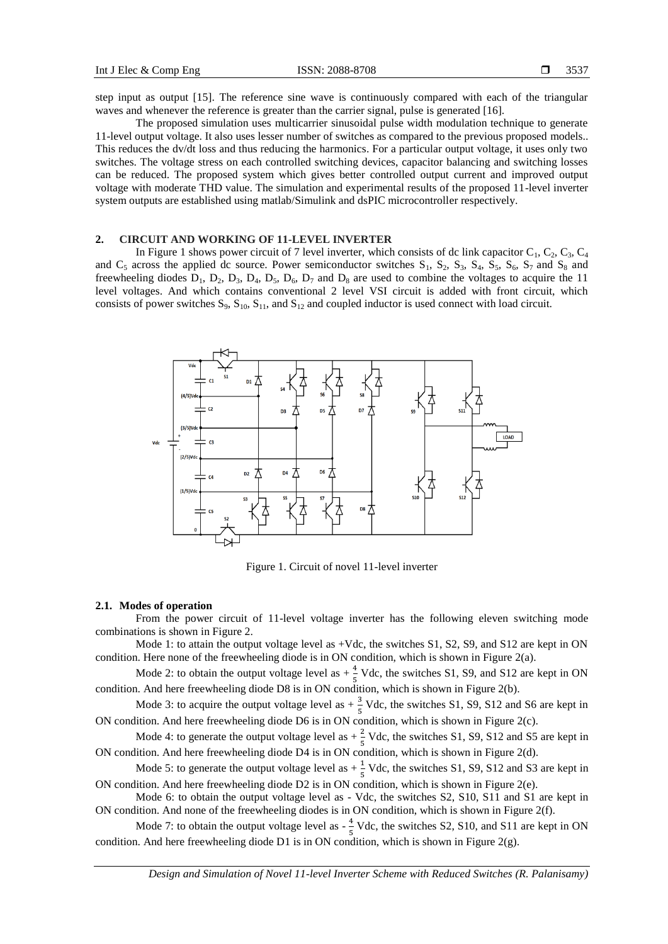step input as output [15]. The reference sine wave is continuously compared with each of the triangular waves and whenever the reference is greater than the carrier signal, pulse is generated [16].

The proposed simulation uses multicarrier sinusoidal pulse width modulation technique to generate 11-level output voltage. It also uses lesser number of switches as compared to the previous proposed models.. This reduces the dv/dt loss and thus reducing the harmonics. For a particular output voltage, it uses only two switches. The voltage stress on each controlled switching devices, capacitor balancing and switching losses can be reduced. The proposed system which gives better controlled output current and improved output voltage with moderate THD value. The simulation and experimental results of the proposed 11-level inverter system outputs are established using matlab/Simulink and dsPIC microcontroller respectively.

# **2. CIRCUIT AND WORKING OF 11-LEVEL INVERTER**

In Figure 1 shows power circuit of 7 level inverter, which consists of dc link capacitor  $C_1$ ,  $C_2$ ,  $C_3$ ,  $C_4$ and  $C_5$  across the applied dc source. Power semiconductor switches  $S_1$ ,  $S_2$ ,  $S_3$ ,  $S_4$ ,  $S_5$ ,  $S_6$ ,  $S_7$  and  $S_8$  and freewheeling diodes  $D_1$ ,  $D_2$ ,  $D_3$ ,  $D_4$ ,  $D_5$ ,  $D_6$ ,  $D_7$  and  $D_8$  are used to combine the voltages to acquire the 11 level voltages. And which contains conventional 2 level VSI circuit is added with front circuit, which consists of power switches  $S_9$ ,  $S_{10}$ ,  $S_{11}$ , and  $S_{12}$  and coupled inductor is used connect with load circuit.



Figure 1. Circuit of novel 11-level inverter

#### **2.1. Modes of operation**

From the power circuit of 11-level voltage inverter has the following eleven switching mode combinations is shown in Figure 2.

Mode 1: to attain the output voltage level as +Vdc, the switches S1, S2, S9, and S12 are kept in ON condition. Here none of the freewheeling diode is in ON condition, which is shown in Figure 2(a).

Mode 2: to obtain the output voltage level as  $+\frac{4}{5}$  Vdc, the switches S1, S9, and S12 are kept in ON condition. And here freewheeling diode D8 is in ON condition, which is shown in Figure 2(b).

Mode 3: to acquire the output voltage level as  $+\frac{3}{5}$  Vdc, the switches S1, S9, S12 and S6 are kept in ON condition. And here freewheeling diode D6 is in ON condition, which is shown in Figure 2(c).

Mode 4: to generate the output voltage level as  $+\frac{2}{5}$  Vdc, the switches S1, S9, S12 and S5 are kept in ON condition. And here freewheeling diode D4 is in ON condition, which is shown in Figure 2(d).

Mode 5: to generate the output voltage level as  $+\frac{1}{5}$  Vdc, the switches S1, S9, S12 and S3 are kept in ON condition. And here freewheeling diode D2 is in ON condition, which is shown in Figure 2(e).

Mode 6: to obtain the output voltage level as - Vdc, the switches S2, S10, S11 and S1 are kept in ON condition. And none of the freewheeling diodes is in ON condition, which is shown in Figure 2(f).

Mode 7: to obtain the output voltage level as  $-\frac{4}{5}$  $\frac{4}{5}$  Vdc, the switches S2, S10, and S11 are kept in ON condition. And here freewheeling diode D1 is in ON condition, which is shown in Figure 2(g).

*Design and Simulation of Novel 11-level Inverter Scheme with Reduced Switches (R. Palanisamy)*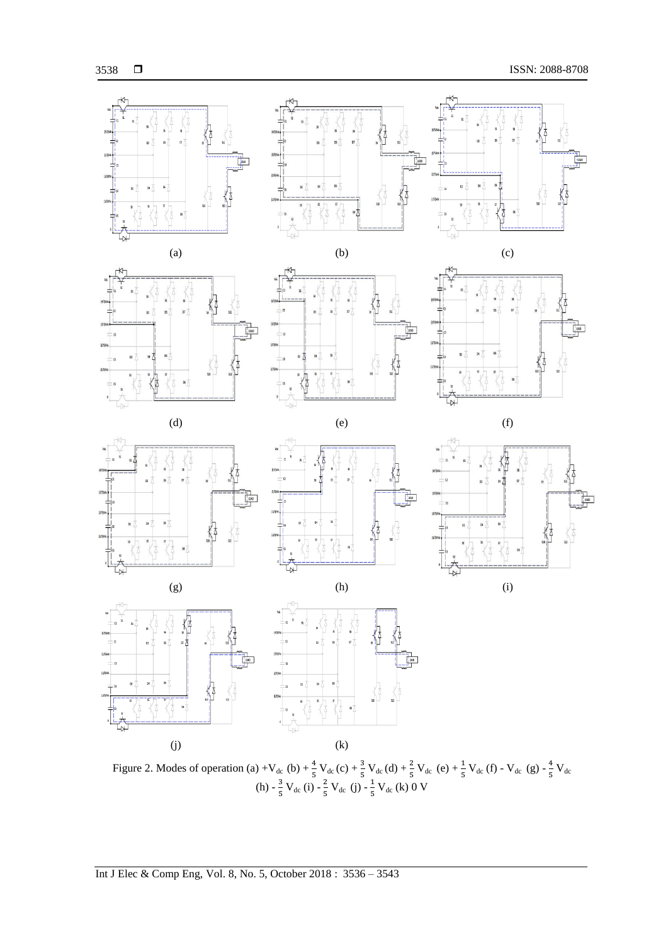

Figure 2. Modes of operation (a) +V<sub>dc</sub> (b) +  $\frac{4}{5}$  V<sub>dc</sub> (c) +  $\frac{3}{5}$  V<sub>dc</sub> (d) +  $\frac{2}{5}$  V<sub>dc</sub> (e) +  $\frac{1}{5}$  V<sub>dc</sub> (f) - V<sub>dc</sub> (g) -  $\frac{4}{5}$  $rac{4}{5}V_{dc}$  $(h) - \frac{3}{5}$  $\frac{3}{5}V_{dc}$  (i)  $-\frac{2}{5}$  $\frac{2}{5}V_{dc}$  (j) -  $\frac{1}{5}$  $\frac{1}{5}$  V<sub>dc</sub> (k) 0 V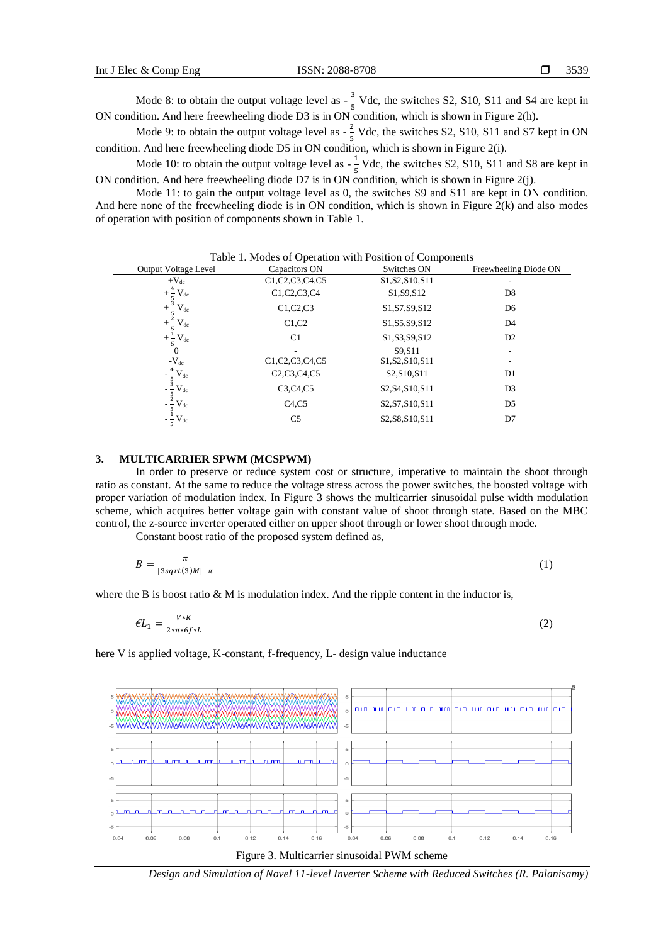3539

Mode 8: to obtain the output voltage level as  $-\frac{3}{5}$  $\frac{5}{5}$  Vdc, the switches S2, S10, S11 and S4 are kept in ON condition. And here freewheeling diode D3 is in ON condition, which is shown in Figure 2(h).

Mode 9: to obtain the output voltage level as  $-\frac{2}{5}$  $\frac{2}{5}$  Vdc, the switches S2, S10, S11 and S7 kept in ON condition. And here freewheeling diode D5 in ON condition, which is shown in Figure 2(i).

Mode 10: to obtain the output voltage level as  $-\frac{1}{5}$  $\frac{1}{5}$  Vdc, the switches S2, S10, S11 and S8 are kept in ON condition. And here freewheeling diode D7 is in ON condition, which is shown in Figure 2(j).

Mode 11: to gain the output voltage level as 0, the switches S9 and S11 are kept in ON condition. And here none of the freewheeling diode is in ON condition, which is shown in Figure  $2(k)$  and also modes of operation with position of components shown in Table 1.

| <b>Output Voltage Level</b>                      | Capacitors ON                                                                  | Switches ON                                                         | Freewheeling Diode ON |  |
|--------------------------------------------------|--------------------------------------------------------------------------------|---------------------------------------------------------------------|-----------------------|--|
| $+V_{dc}$                                        | C1, C2, C3, C4, C5                                                             | S1, S2, S10, S11                                                    |                       |  |
| $\rm V_{dc}$                                     | C1, C2, C3, C4                                                                 | S1, S9, S12                                                         | D <sub>8</sub>        |  |
| $+$ $\frac{1}{5}$<br>+ $\frac{3}{5}$<br>$V_{dc}$ | C1, C2, C3                                                                     | S1, S7, S9, S12                                                     | D <sub>6</sub>        |  |
| $+\frac{2}{5}$<br>$\rm V_{dc}$                   | C1, C2                                                                         | S1, S5, S9, S12                                                     | D <sub>4</sub>        |  |
| $\rm V_{dc}$<br>$+\frac{1}{5}$                   | C <sub>1</sub>                                                                 | S1, S3, S9, S12                                                     | D <sub>2</sub>        |  |
| $\theta$                                         | ۰                                                                              | S9.S11                                                              | ۰                     |  |
| $-V_{dc}$                                        | C <sub>1</sub> ,C <sub>2</sub> ,C <sub>3</sub> ,C <sub>4</sub> ,C <sub>5</sub> | S <sub>1</sub> , S <sub>2</sub> , S <sub>10</sub> , S <sub>11</sub> |                       |  |
| $\rm V_{dc}$<br>- 5                              | C2, C3, C4, C5                                                                 | S <sub>2</sub> , S <sub>10</sub> , S <sub>11</sub>                  | D <sub>1</sub>        |  |
| $\rm V_{dc}$                                     | C3,C4,C5                                                                       | S2, S4, S10, S11                                                    | D <sub>3</sub>        |  |
| $V_{dc}$                                         | C4, C5                                                                         | S2, S7, S10, S11                                                    | D <sub>5</sub>        |  |
| $\rm V_{dc}$                                     | C <sub>5</sub>                                                                 | S2, S8, S10, S11                                                    | D7                    |  |

Table 1. Modes of Operation with Position of Components

## **3. MULTICARRIER SPWM (MCSPWM)**

In order to preserve or reduce system cost or structure, imperative to maintain the shoot through ratio as constant. At the same to reduce the voltage stress across the power switches, the boosted voltage with proper variation of modulation index. In Figure 3 shows the multicarrier sinusoidal pulse width modulation scheme, which acquires better voltage gain with constant value of shoot through state. Based on the MBC control, the z-source inverter operated either on upper shoot through or lower shoot through mode.

Constant boost ratio of the proposed system defined as,

$$
B = \frac{\pi}{[3sqrt(3)M] - \pi} \tag{1}
$$

where the B is boost ratio  $\&$  M is modulation index. And the ripple content in the inductor is,

$$
\mathcal{E}L_1 = \frac{V \ast K}{2 \ast \pi \ast 6 f \ast L} \tag{2}
$$

here V is applied voltage, K-constant, f-frequency, L- design value inductance





*Design and Simulation of Novel 11-level Inverter Scheme with Reduced Switches (R. Palanisamy)*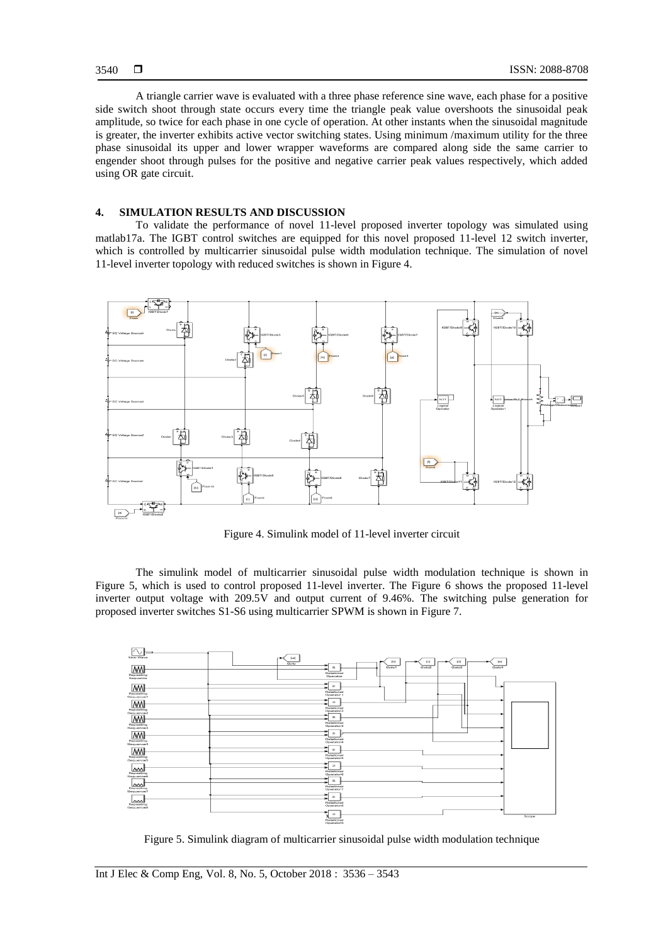A triangle carrier wave is evaluated with a three phase reference sine wave, each phase for a positive side switch shoot through state occurs every time the triangle peak value overshoots the sinusoidal peak amplitude, so twice for each phase in one cycle of operation. At other instants when the sinusoidal magnitude is greater, the inverter exhibits active vector switching states. Using minimum /maximum utility for the three phase sinusoidal its upper and lower wrapper waveforms are compared along side the same carrier to engender shoot through pulses for the positive and negative carrier peak values respectively, which added using OR gate circuit.

### **4. SIMULATION RESULTS AND DISCUSSION**

To validate the performance of novel 11-level proposed inverter topology was simulated using matlab17a. The IGBT control switches are equipped for this novel proposed 11-level 12 switch inverter, which is controlled by multicarrier sinusoidal pulse width modulation technique. The simulation of novel 11-level inverter topology with reduced switches is shown in Figure 4.



Figure 4. Simulink model of 11-level inverter circuit

The simulink model of multicarrier sinusoidal pulse width modulation technique is shown in Figure 5, which is used to control proposed 11-level inverter. The Figure 6 shows the proposed 11-level inverter output voltage with 209.5V and output current of 9.46%. The switching pulse generation for proposed inverter switches S1-S6 using multicarrier SPWM is shown in Figure 7.



Figure 5. Simulink diagram of multicarrier sinusoidal pulse width modulation technique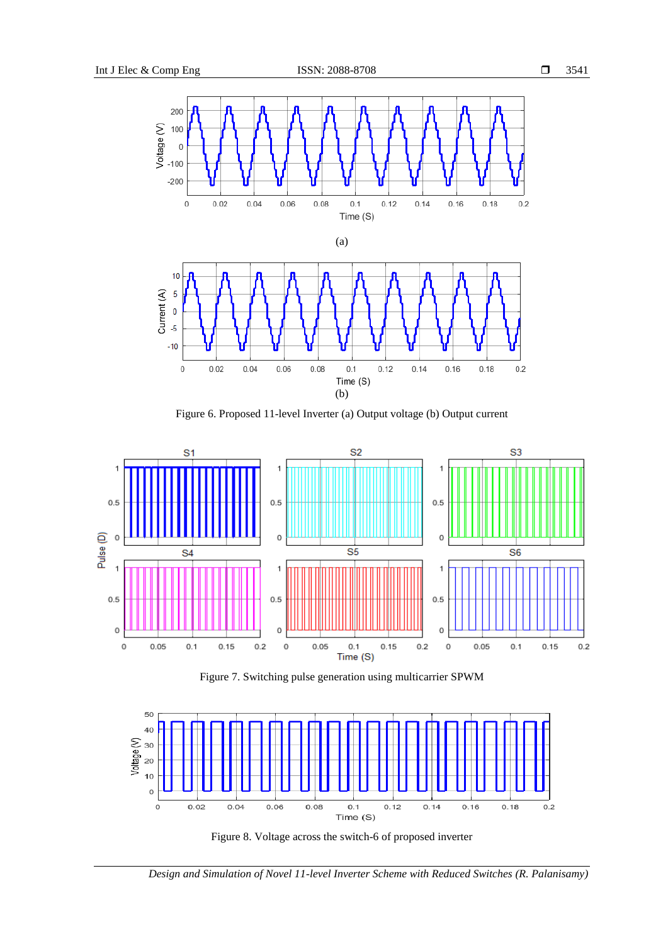

Figure 6. Proposed 11-level Inverter (a) Output voltage (b) Output current



Figure 7. Switching pulse generation using multicarrier SPWM



Figure 8. Voltage across the switch-6 of proposed inverter

*Design and Simulation of Novel 11-level Inverter Scheme with Reduced Switches (R. Palanisamy)*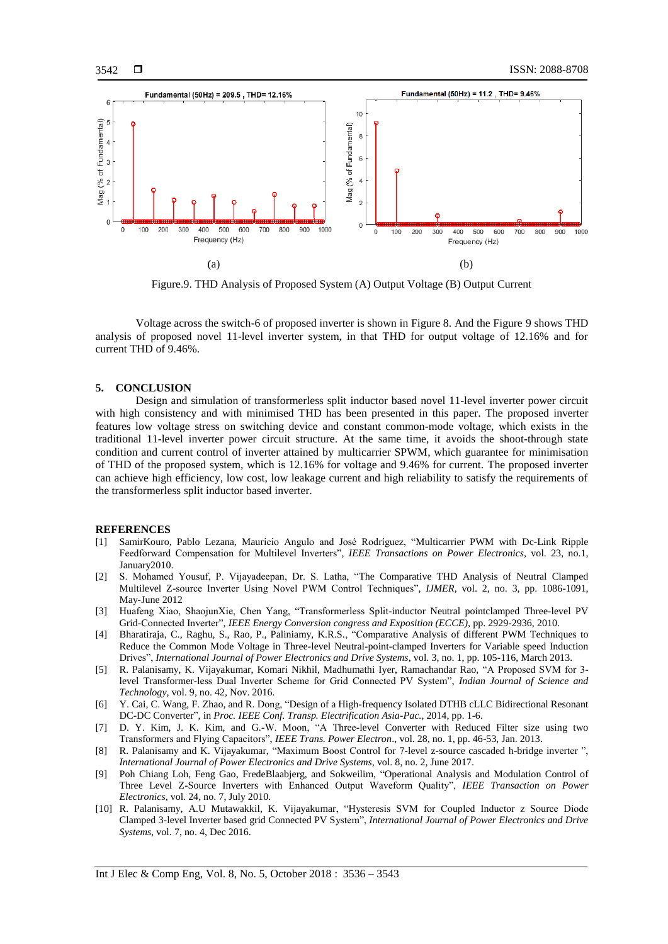

Figure.9. THD Analysis of Proposed System (A) Output Voltage (B) Output Current

Voltage across the switch-6 of proposed inverter is shown in Figure 8. And the Figure 9 shows THD analysis of proposed novel 11-level inverter system, in that THD for output voltage of 12.16% and for current THD of 9.46%.

# **5. CONCLUSION**

Design and simulation of transformerless split inductor based novel 11-level inverter power circuit with high consistency and with minimised THD has been presented in this paper. The proposed inverter features low voltage stress on switching device and constant common-mode voltage, which exists in the traditional 11-level inverter power circuit structure. At the same time, it avoids the shoot-through state condition and current control of inverter attained by multicarrier SPWM, which guarantee for minimisation of THD of the proposed system, which is 12.16% for voltage and 9.46% for current. The proposed inverter can achieve high efficiency, low cost, low leakage current and high reliability to satisfy the requirements of the transformerless split inductor based inverter.

#### **REFERENCES**

- [1] SamirKouro, Pablo Lezana, Mauricio Angulo and José Rodríguez, "Multicarrier PWM with Dc-Link Ripple Feedforward Compensation for Multilevel Inverters", *IEEE Transactions on Power Electronics,* vol. 23, no.1, January2010.
- [2] S. Mohamed Yousuf, P. Vijayadeepan, Dr. S. Latha, "The Comparative THD Analysis of Neutral Clamped Multilevel Z-source Inverter Using Novel PWM Control Techniques", *IJMER,* vol. 2, no. 3, pp. 1086-1091, May-June 2012
- [3] Huafeng Xiao, ShaojunXie, Chen Yang, "Transformerless Split-inductor Neutral pointclamped Three-level PV Grid-Connected Inverter", *IEEE Energy Conversion congress and Exposition (ECCE),* pp. 2929-2936, 2010.
- [4] Bharatiraja, C., Raghu, S., Rao, P., Paliniamy, K.R.S., "Comparative Analysis of different PWM Techniques to Reduce the Common Mode Voltage in Three-level Neutral-point-clamped Inverters for Variable speed Induction Drives", *International Journal of Power Electronics and Drive Systems*, vol. 3, no. 1, pp. 105-116, March 2013.
- [5] R. Palanisamy, K. Vijayakumar, Komari Nikhil, Madhumathi Iyer, Ramachandar Rao, "A Proposed SVM for 3 level Transformer-less Dual Inverter Scheme for Grid Connected PV System", *Indian Journal of Science and Technology*, vol. 9, no. 42, Nov. 2016.
- [6] Y. Cai, C. Wang, F. Zhao, and R. Dong, "Design of a High-frequency Isolated DTHB cLLC Bidirectional Resonant DC-DC Converter", in *Proc. IEEE Conf. Transp. Electrification Asia-Pac.*, 2014, pp. 1-6.
- [7] D. Y. Kim, J. K. Kim, and G.-W. Moon, "A Three-level Converter with Reduced Filter size using two Transformers and Flying Capacitors", *IEEE Trans. Power Electron*., vol. 28, no. 1, pp. 46-53, Jan. 2013.
- [8] R. Palanisamy and K. Vijayakumar, "Maximum Boost Control for 7-level z-source cascaded h-bridge inverter ", *International Journal of Power Electronics and Drive Systems*, vol. 8, no. 2, June 2017.
- [9] Poh Chiang Loh, Feng Gao, FredeBlaabjerg, and Sokweilim, "Operational Analysis and Modulation Control of Three Level Z-Source Inverters with Enhanced Output Waveform Quality", *IEEE Transaction on Power Electronics*, vol. 24, no. 7, July 2010.
- [10] R. Palanisamy, A.U Mutawakkil, K. Vijayakumar, "Hysteresis SVM for Coupled Inductor z Source Diode Clamped 3-level Inverter based grid Connected PV System", *International Journal of Power Electronics and Drive Systems*, vol. 7, no. 4, Dec 2016.